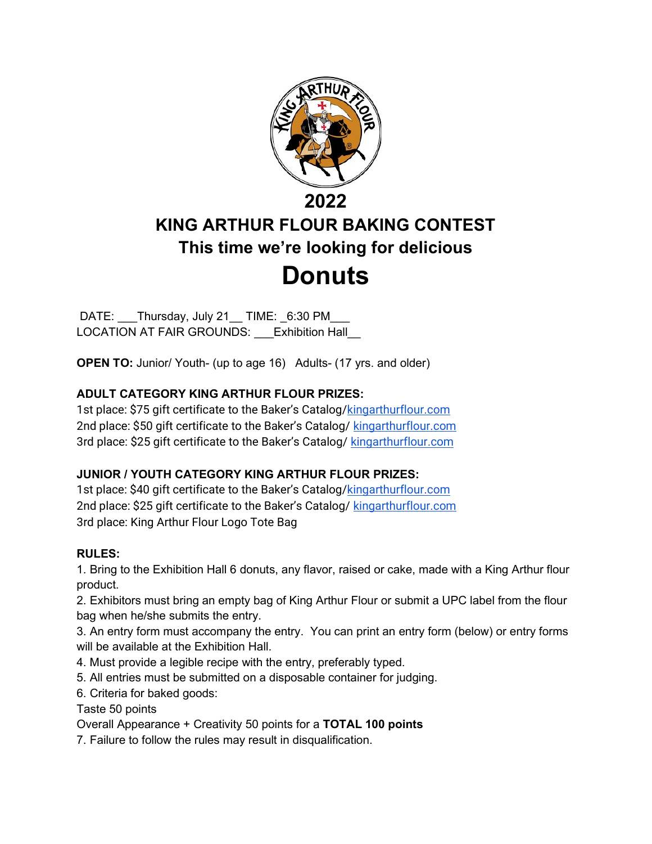

# KING ARTHUR FLOUR BAKING CONTEST This time we're looking for delicious **Donuts**

DATE: Thursday, July 21 TIME: 6:30 PM LOCATION AT FAIR GROUNDS: Exhibition Hall

OPEN TO: Junior/ Youth- (up to age 16) Adults- (17 yrs. and older)

#### ADULT CATEGORY KING ARTHUR FLOUR PRIZES:

1st place: \$75 gift certificate to the Baker's Catalog/kingarthurflour.com 2nd place: \$50 gift certificate to the Baker's Catalog/ kingarthurflour.com 3rd place: \$25 gift certificate to the Baker's Catalog/ kingarthurflour.com

#### JUNIOR / YOUTH CATEGORY KING ARTHUR FLOUR PRIZES:

1st place: \$40 gift certificate to the Baker's Catalog/kingarthurflour.com 2nd place: \$25 gift certificate to the Baker's Catalog/ kingarthurflour.com 3rd place: King Arthur Flour Logo Tote Bag

#### RULES:

1. Bring to the Exhibition Hall 6 donuts, any flavor, raised or cake, made with a King Arthur flour product.

2. Exhibitors must bring an empty bag of King Arthur Flour or submit a UPC label from the flour bag when he/she submits the entry.

3. An entry form must accompany the entry. You can print an entry form (below) or entry forms will be available at the Exhibition Hall.

- 4. Must provide a legible recipe with the entry, preferably typed.
- 5. All entries must be submitted on a disposable container for judging.
- 6. Criteria for baked goods:

Taste 50 points

Overall Appearance + Creativity 50 points for a TOTAL 100 points

7. Failure to follow the rules may result in disqualification.